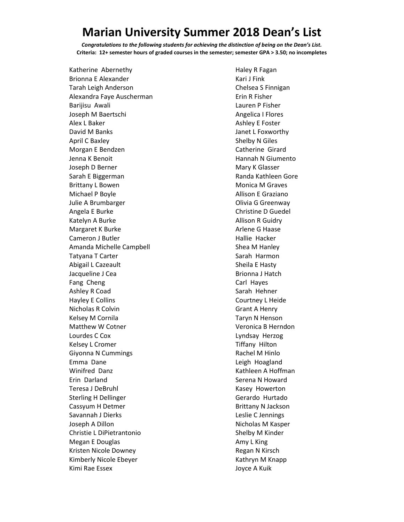## **Marian University Summer 2018 Dean's List**

*Congratulations to the following students for achieving the distinction of being on the Dean's List.* **Criteria: 12+ semester hours of graded courses in the semester; semester GPA > 3.50; no incompletes**

Katherine Abernethy Brionna E Alexander Tarah Leigh Anderson Alexandra Faye Auscherman Barijisu Awali Joseph M Baertschi Alex L Baker David M Banks April C Baxley Morgan E Bendzen Jenna K Benoit Joseph D Berner Sarah E Biggerman Brittany L Bowen Michael P Boyle Julie A Brumbarger Angela E Burke Katelyn A Burke Margaret K Burke Cameron J Butler Amanda Michelle Campbell Tatyana T Carter Abigail L Cazeault Jacqueline J Cea Fang Cheng Ashley R Coad Hayley E Collins Nicholas R Colvin Kelsey M Cornila Matthew W Cotner Lourdes C Cox Kelsey L Cromer Giyonna N Cummings Emma Dane Winifred Danz Erin Darland Teresa J DeBruhl Sterling H Dellinger Cassyum H Detmer Savannah J Dierks Joseph A Dillon Christie L DiPietrantonio Megan E Douglas Kristen Nicole Downey Kimberly Nicole Ebeyer Kimi Rae Essex

Haley R Fagan Kari J Fink Chelsea S Finnigan Erin R Fisher Lauren P Fisher Angelica I Flores Ashley E Foster Janet L Foxworthy Shelby N Giles Catherine Girard Hannah N Giumento Mary K Glasser Randa Kathleen Gore Monica M Graves Allison E Graziano Olivia G Greenway Christine D Guedel Allison R Guidry Arlene G Haase Hallie Hacker Shea M Hanley Sarah Harmon Sheila E Hasty Brionna J Hatch Carl Hayes Sarah Hehner Courtney L Heide Grant A Henry Taryn N Henson Veronica B Herndon Lyndsay Herzog Tiffany Hilton Rachel M Hinlo Leigh Hoagland Kathleen A Hoffman Serena N Howard Kasey Howerton Gerardo Hurtado Brittany N Jackson Leslie C Jennings Nicholas M Kasper Shelby M Kinder Amy L King Regan N Kirsch Kathryn M Knapp Joyce A Kuik